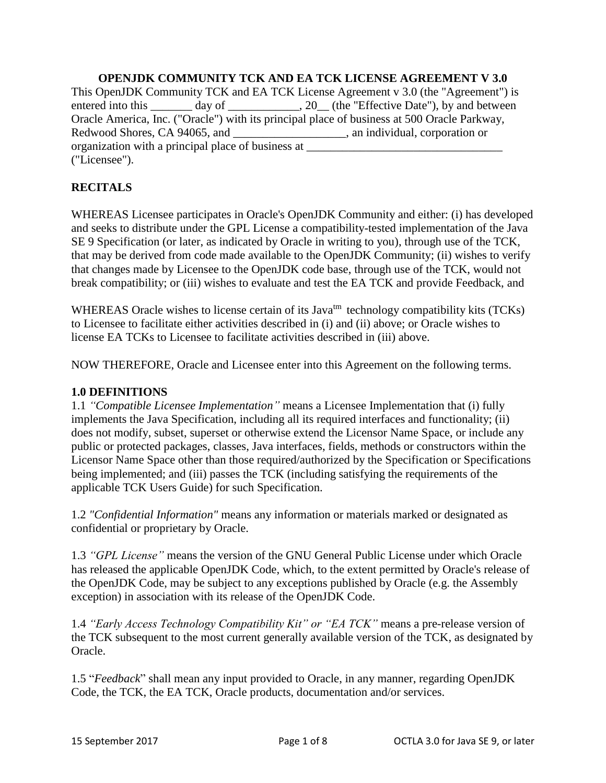### **OPENJDK COMMUNITY TCK AND EA TCK LICENSE AGREEMENT V 3.0** This OpenJDK Community TCK and EA TCK License Agreement v 3.0 (the "Agreement") is entered into this \_\_\_\_\_\_ day of \_\_\_\_\_\_\_\_\_\_\_, 20\_\_ (the "Effective Date"), by and between Oracle America, Inc. ("Oracle") with its principal place of business at 500 Oracle Parkway, Redwood Shores, CA 94065, and \_\_\_\_\_\_\_\_\_\_\_\_\_\_\_\_\_\_\_, an individual, corporation or organization with a principal place of business at \_\_\_\_\_\_\_\_\_\_\_\_\_\_\_\_\_\_\_\_\_\_\_\_\_\_\_\_\_\_\_\_\_ ("Licensee").

# **RECITALS**

WHEREAS Licensee participates in Oracle's OpenJDK Community and either: (i) has developed and seeks to distribute under the GPL License a compatibility-tested implementation of the Java SE 9 Specification (or later, as indicated by Oracle in writing to you), through use of the TCK, that may be derived from code made available to the OpenJDK Community; (ii) wishes to verify that changes made by Licensee to the OpenJDK code base, through use of the TCK, would not break compatibility; or (iii) wishes to evaluate and test the EA TCK and provide Feedback, and

WHEREAS Oracle wishes to license certain of its Java<sup>tm</sup> technology compatibility kits (TCKs) to Licensee to facilitate either activities described in (i) and (ii) above; or Oracle wishes to license EA TCKs to Licensee to facilitate activities described in (iii) above.

NOW THEREFORE, Oracle and Licensee enter into this Agreement on the following terms.

### **1.0 DEFINITIONS**

1.1 *"Compatible Licensee Implementation"* means a Licensee Implementation that (i) fully implements the Java Specification, including all its required interfaces and functionality; (ii) does not modify, subset, superset or otherwise extend the Licensor Name Space, or include any public or protected packages, classes, Java interfaces, fields, methods or constructors within the Licensor Name Space other than those required/authorized by the Specification or Specifications being implemented; and (iii) passes the TCK (including satisfying the requirements of the applicable TCK Users Guide) for such Specification.

1.2 *"Confidential Information"* means any information or materials marked or designated as confidential or proprietary by Oracle.

1.3 *"GPL License"* means the version of the GNU General Public License under which Oracle has released the applicable OpenJDK Code, which, to the extent permitted by Oracle's release of the OpenJDK Code, may be subject to any exceptions published by Oracle (e.g. the Assembly exception) in association with its release of the OpenJDK Code.

1.4 *"Early Access Technology Compatibility Kit" or "EA TCK"* means a pre-release version of the TCK subsequent to the most current generally available version of the TCK, as designated by Oracle.

1.5 "*Feedback*" shall mean any input provided to Oracle, in any manner, regarding OpenJDK Code, the TCK, the EA TCK, Oracle products, documentation and/or services.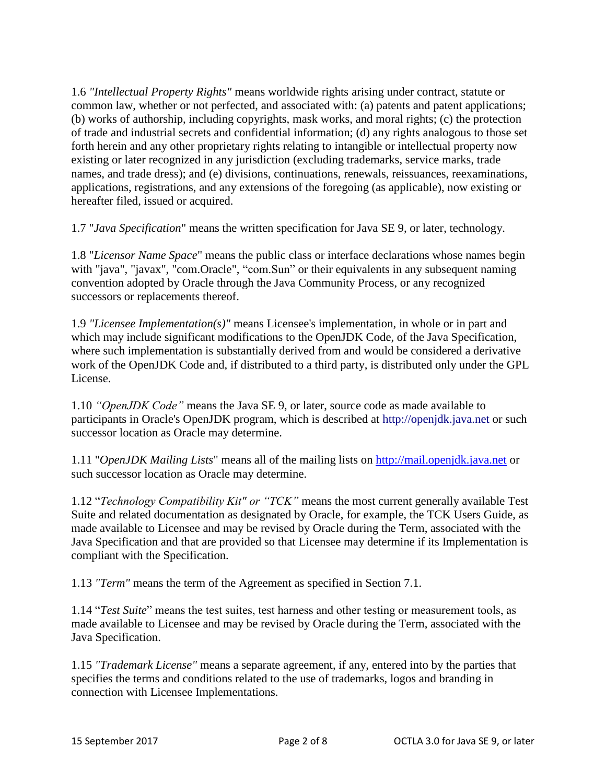1.6 *"Intellectual Property Rights"* means worldwide rights arising under contract, statute or common law, whether or not perfected, and associated with: (a) patents and patent applications; (b) works of authorship, including copyrights, mask works, and moral rights; (c) the protection of trade and industrial secrets and confidential information; (d) any rights analogous to those set forth herein and any other proprietary rights relating to intangible or intellectual property now existing or later recognized in any jurisdiction (excluding trademarks, service marks, trade names, and trade dress); and (e) divisions, continuations, renewals, reissuances, reexaminations, applications, registrations, and any extensions of the foregoing (as applicable), now existing or hereafter filed, issued or acquired.

1.7 "*Java Specification*" means the written specification for Java SE 9, or later, technology.

1.8 "*Licensor Name Space*" means the public class or interface declarations whose names begin with "java", "javax", "com.Oracle", "com.Sun" or their equivalents in any subsequent naming convention adopted by Oracle through the Java Community Process, or any recognized successors or replacements thereof.

1.9 *"Licensee Implementation(s)"* means Licensee's implementation, in whole or in part and which may include significant modifications to the OpenJDK Code, of the Java Specification, where such implementation is substantially derived from and would be considered a derivative work of the OpenJDK Code and, if distributed to a third party, is distributed only under the GPL License.

1.10 *"OpenJDK Code"* means the Java SE 9, or later, source code as made available to participants in Oracle's OpenJDK program, which is described at http://openjdk.java.net or such successor location as Oracle may determine.

1.11 "*OpenJDK Mailing Lists*" means all of the mailing lists on [http://mail.openjdk.java.net](http://mail.openjdk.java.net/) or such successor location as Oracle may determine.

1.12 "*Technology Compatibility Kit" or "TCK"* means the most current generally available Test Suite and related documentation as designated by Oracle, for example, the TCK Users Guide, as made available to Licensee and may be revised by Oracle during the Term, associated with the Java Specification and that are provided so that Licensee may determine if its Implementation is compliant with the Specification.

1.13 *"Term"* means the term of the Agreement as specified in Section 7.1.

1.14 "*Test Suite*" means the test suites, test harness and other testing or measurement tools, as made available to Licensee and may be revised by Oracle during the Term, associated with the Java Specification.

1.15 *"Trademark License"* means a separate agreement, if any, entered into by the parties that specifies the terms and conditions related to the use of trademarks, logos and branding in connection with Licensee Implementations.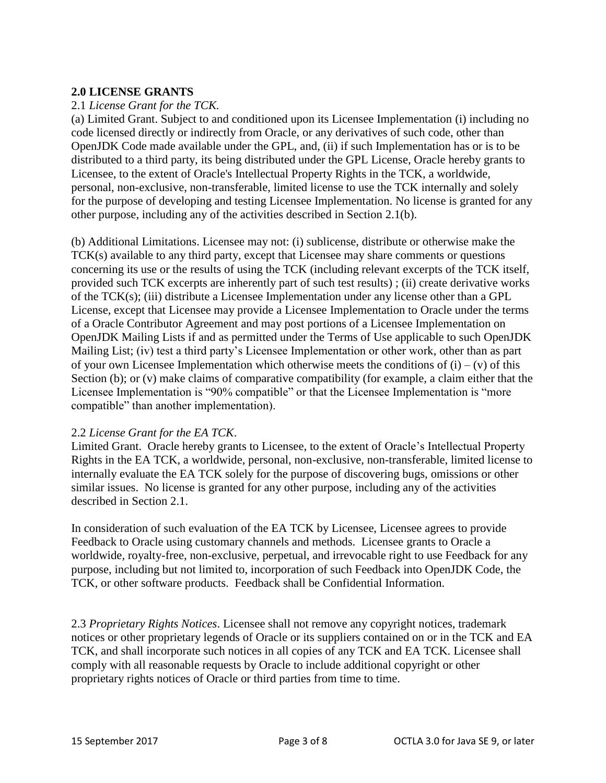### **2.0 LICENSE GRANTS**

### 2.1 *License Grant for the TCK.*

(a) Limited Grant. Subject to and conditioned upon its Licensee Implementation (i) including no code licensed directly or indirectly from Oracle, or any derivatives of such code, other than OpenJDK Code made available under the GPL, and, (ii) if such Implementation has or is to be distributed to a third party, its being distributed under the GPL License, Oracle hereby grants to Licensee, to the extent of Oracle's Intellectual Property Rights in the TCK, a worldwide, personal, non-exclusive, non-transferable, limited license to use the TCK internally and solely for the purpose of developing and testing Licensee Implementation. No license is granted for any other purpose, including any of the activities described in Section 2.1(b).

(b) Additional Limitations. Licensee may not: (i) sublicense, distribute or otherwise make the TCK(s) available to any third party, except that Licensee may share comments or questions concerning its use or the results of using the TCK (including relevant excerpts of the TCK itself, provided such TCK excerpts are inherently part of such test results) ; (ii) create derivative works of the TCK(s); (iii) distribute a Licensee Implementation under any license other than a GPL License, except that Licensee may provide a Licensee Implementation to Oracle under the terms of a Oracle Contributor Agreement and may post portions of a Licensee Implementation on OpenJDK Mailing Lists if and as permitted under the Terms of Use applicable to such OpenJDK Mailing List; (iv) test a third party's Licensee Implementation or other work, other than as part of your own Licensee Implementation which otherwise meets the conditions of  $(i) - (v)$  of this Section (b); or (v) make claims of comparative compatibility (for example, a claim either that the Licensee Implementation is "90% compatible" or that the Licensee Implementation is "more compatible" than another implementation).

#### 2.2 *License Grant for the EA TCK*.

Limited Grant. Oracle hereby grants to Licensee, to the extent of Oracle's Intellectual Property Rights in the EA TCK, a worldwide, personal, non-exclusive, non-transferable, limited license to internally evaluate the EA TCK solely for the purpose of discovering bugs, omissions or other similar issues. No license is granted for any other purpose, including any of the activities described in Section 2.1.

In consideration of such evaluation of the EA TCK by Licensee, Licensee agrees to provide Feedback to Oracle using customary channels and methods. Licensee grants to Oracle a worldwide, royalty-free, non-exclusive, perpetual, and irrevocable right to use Feedback for any purpose, including but not limited to, incorporation of such Feedback into OpenJDK Code, the TCK, or other software products. Feedback shall be Confidential Information.

2.3 *Proprietary Rights Notices*. Licensee shall not remove any copyright notices, trademark notices or other proprietary legends of Oracle or its suppliers contained on or in the TCK and EA TCK, and shall incorporate such notices in all copies of any TCK and EA TCK. Licensee shall comply with all reasonable requests by Oracle to include additional copyright or other proprietary rights notices of Oracle or third parties from time to time.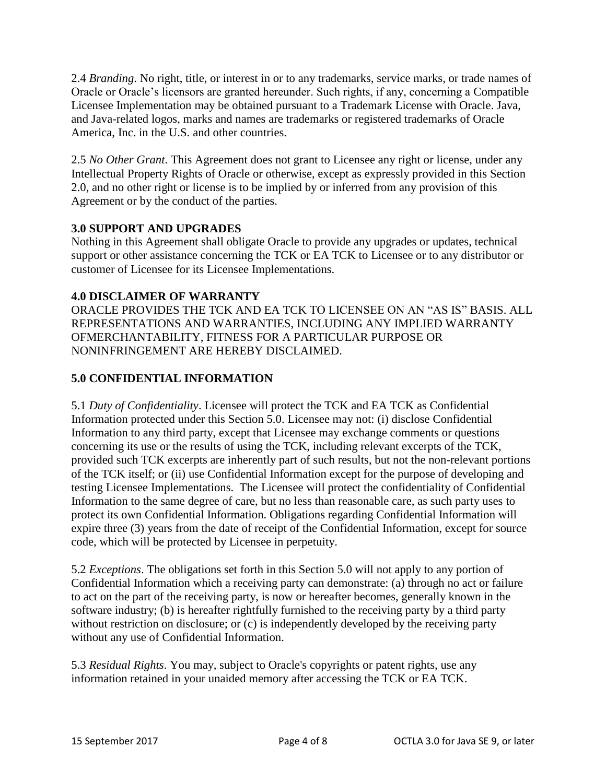2.4 *Branding*. No right, title, or interest in or to any trademarks, service marks, or trade names of Oracle or Oracle's licensors are granted hereunder. Such rights, if any, concerning a Compatible Licensee Implementation may be obtained pursuant to a Trademark License with Oracle. Java, and Java-related logos, marks and names are trademarks or registered trademarks of Oracle America, Inc. in the U.S. and other countries.

2.5 *No Other Grant*. This Agreement does not grant to Licensee any right or license, under any Intellectual Property Rights of Oracle or otherwise, except as expressly provided in this Section 2.0, and no other right or license is to be implied by or inferred from any provision of this Agreement or by the conduct of the parties.

# **3.0 SUPPORT AND UPGRADES**

Nothing in this Agreement shall obligate Oracle to provide any upgrades or updates, technical support or other assistance concerning the TCK or EA TCK to Licensee or to any distributor or customer of Licensee for its Licensee Implementations.

# **4.0 DISCLAIMER OF WARRANTY**

ORACLE PROVIDES THE TCK AND EA TCK TO LICENSEE ON AN "AS IS" BASIS. ALL REPRESENTATIONS AND WARRANTIES, INCLUDING ANY IMPLIED WARRANTY OFMERCHANTABILITY, FITNESS FOR A PARTICULAR PURPOSE OR NONINFRINGEMENT ARE HEREBY DISCLAIMED.

# **5.0 CONFIDENTIAL INFORMATION**

5.1 *Duty of Confidentiality*. Licensee will protect the TCK and EA TCK as Confidential Information protected under this Section 5.0. Licensee may not: (i) disclose Confidential Information to any third party, except that Licensee may exchange comments or questions concerning its use or the results of using the TCK, including relevant excerpts of the TCK, provided such TCK excerpts are inherently part of such results, but not the non-relevant portions of the TCK itself; or (ii) use Confidential Information except for the purpose of developing and testing Licensee Implementations. The Licensee will protect the confidentiality of Confidential Information to the same degree of care, but no less than reasonable care, as such party uses to protect its own Confidential Information. Obligations regarding Confidential Information will expire three (3) years from the date of receipt of the Confidential Information, except for source code, which will be protected by Licensee in perpetuity.

5.2 *Exceptions*. The obligations set forth in this Section 5.0 will not apply to any portion of Confidential Information which a receiving party can demonstrate: (a) through no act or failure to act on the part of the receiving party, is now or hereafter becomes, generally known in the software industry; (b) is hereafter rightfully furnished to the receiving party by a third party without restriction on disclosure; or (c) is independently developed by the receiving party without any use of Confidential Information.

5.3 *Residual Rights*. You may, subject to Oracle's copyrights or patent rights, use any information retained in your unaided memory after accessing the TCK or EA TCK.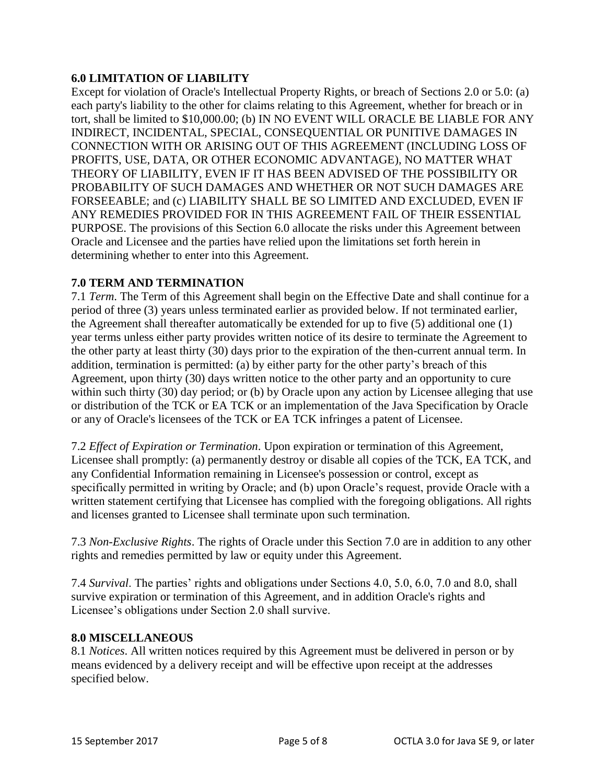# **6.0 LIMITATION OF LIABILITY**

Except for violation of Oracle's Intellectual Property Rights, or breach of Sections 2.0 or 5.0: (a) each party's liability to the other for claims relating to this Agreement, whether for breach or in tort, shall be limited to \$10,000.00; (b) IN NO EVENT WILL ORACLE BE LIABLE FOR ANY INDIRECT, INCIDENTAL, SPECIAL, CONSEQUENTIAL OR PUNITIVE DAMAGES IN CONNECTION WITH OR ARISING OUT OF THIS AGREEMENT (INCLUDING LOSS OF PROFITS, USE, DATA, OR OTHER ECONOMIC ADVANTAGE), NO MATTER WHAT THEORY OF LIABILITY, EVEN IF IT HAS BEEN ADVISED OF THE POSSIBILITY OR PROBABILITY OF SUCH DAMAGES AND WHETHER OR NOT SUCH DAMAGES ARE FORSEEABLE; and (c) LIABILITY SHALL BE SO LIMITED AND EXCLUDED, EVEN IF ANY REMEDIES PROVIDED FOR IN THIS AGREEMENT FAIL OF THEIR ESSENTIAL PURPOSE. The provisions of this Section 6.0 allocate the risks under this Agreement between Oracle and Licensee and the parties have relied upon the limitations set forth herein in determining whether to enter into this Agreement.

### **7.0 TERM AND TERMINATION**

7.1 *Term*. The Term of this Agreement shall begin on the Effective Date and shall continue for a period of three (3) years unless terminated earlier as provided below. If not terminated earlier, the Agreement shall thereafter automatically be extended for up to five (5) additional one (1) year terms unless either party provides written notice of its desire to terminate the Agreement to the other party at least thirty (30) days prior to the expiration of the then-current annual term. In addition, termination is permitted: (a) by either party for the other party's breach of this Agreement, upon thirty (30) days written notice to the other party and an opportunity to cure within such thirty (30) day period; or (b) by Oracle upon any action by Licensee alleging that use or distribution of the TCK or EA TCK or an implementation of the Java Specification by Oracle or any of Oracle's licensees of the TCK or EA TCK infringes a patent of Licensee.

7.2 *Effect of Expiration or Termination*. Upon expiration or termination of this Agreement, Licensee shall promptly: (a) permanently destroy or disable all copies of the TCK, EA TCK, and any Confidential Information remaining in Licensee's possession or control, except as specifically permitted in writing by Oracle; and (b) upon Oracle's request, provide Oracle with a written statement certifying that Licensee has complied with the foregoing obligations. All rights and licenses granted to Licensee shall terminate upon such termination.

7.3 *Non-Exclusive Rights*. The rights of Oracle under this Section 7.0 are in addition to any other rights and remedies permitted by law or equity under this Agreement.

7.4 *Survival*. The parties' rights and obligations under Sections 4.0, 5.0, 6.0, 7.0 and 8.0, shall survive expiration or termination of this Agreement, and in addition Oracle's rights and Licensee's obligations under Section 2.0 shall survive.

#### **8.0 MISCELLANEOUS**

8.1 *Notices*. All written notices required by this Agreement must be delivered in person or by means evidenced by a delivery receipt and will be effective upon receipt at the addresses specified below.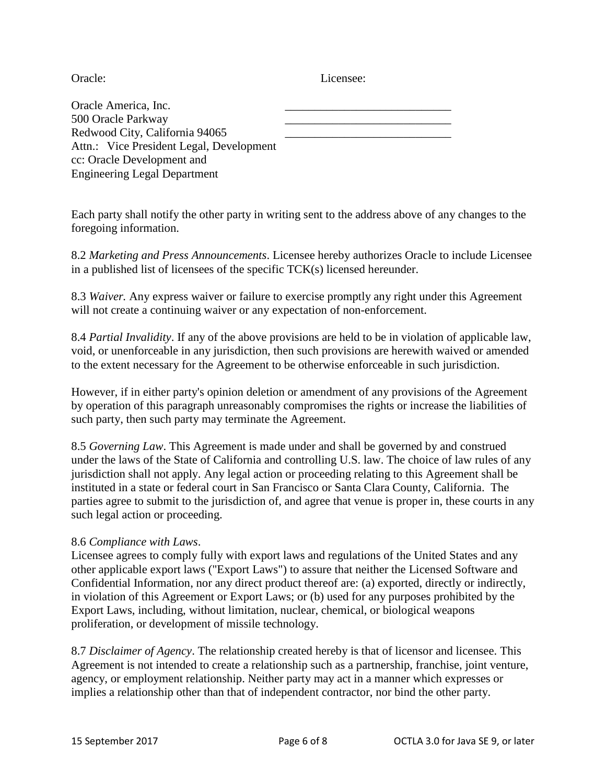Oracle: Licensee:

| Oracle America, Inc.                     |  |
|------------------------------------------|--|
| 500 Oracle Parkway                       |  |
| Redwood City, California 94065           |  |
| Attn.: Vice President Legal, Development |  |
| cc: Oracle Development and               |  |
| <b>Engineering Legal Department</b>      |  |

Each party shall notify the other party in writing sent to the address above of any changes to the foregoing information.

8.2 *Marketing and Press Announcements*. Licensee hereby authorizes Oracle to include Licensee in a published list of licensees of the specific TCK(s) licensed hereunder.

8.3 *Waiver.* Any express waiver or failure to exercise promptly any right under this Agreement will not create a continuing waiver or any expectation of non-enforcement.

8.4 *Partial Invalidity*. If any of the above provisions are held to be in violation of applicable law, void, or unenforceable in any jurisdiction, then such provisions are herewith waived or amended to the extent necessary for the Agreement to be otherwise enforceable in such jurisdiction.

However, if in either party's opinion deletion or amendment of any provisions of the Agreement by operation of this paragraph unreasonably compromises the rights or increase the liabilities of such party, then such party may terminate the Agreement.

8.5 *Governing Law*. This Agreement is made under and shall be governed by and construed under the laws of the State of California and controlling U.S. law. The choice of law rules of any jurisdiction shall not apply. Any legal action or proceeding relating to this Agreement shall be instituted in a state or federal court in San Francisco or Santa Clara County, California. The parties agree to submit to the jurisdiction of, and agree that venue is proper in, these courts in any such legal action or proceeding.

#### 8.6 *Compliance with Laws*.

Licensee agrees to comply fully with export laws and regulations of the United States and any other applicable export laws ("Export Laws") to assure that neither the Licensed Software and Confidential Information, nor any direct product thereof are: (a) exported, directly or indirectly, in violation of this Agreement or Export Laws; or (b) used for any purposes prohibited by the Export Laws, including, without limitation, nuclear, chemical, or biological weapons proliferation, or development of missile technology.

8.7 *Disclaimer of Agency*. The relationship created hereby is that of licensor and licensee. This Agreement is not intended to create a relationship such as a partnership, franchise, joint venture, agency, or employment relationship. Neither party may act in a manner which expresses or implies a relationship other than that of independent contractor, nor bind the other party.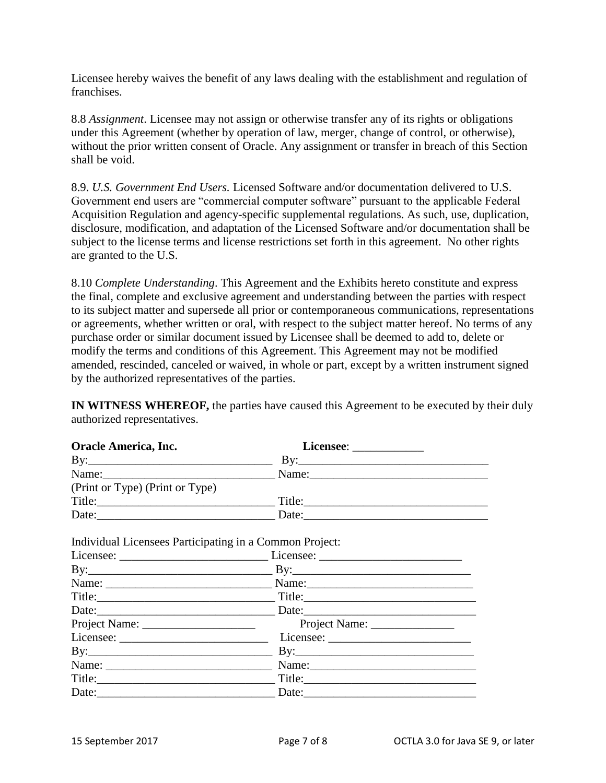Licensee hereby waives the benefit of any laws dealing with the establishment and regulation of franchises.

8.8 *Assignment*. Licensee may not assign or otherwise transfer any of its rights or obligations under this Agreement (whether by operation of law, merger, change of control, or otherwise), without the prior written consent of Oracle. Any assignment or transfer in breach of this Section shall be void.

8.9. *U.S. Government End Users.* Licensed Software and/or documentation delivered to U.S. Government end users are "commercial computer software" pursuant to the applicable Federal Acquisition Regulation and agency-specific supplemental regulations. As such, use, duplication, disclosure, modification, and adaptation of the Licensed Software and/or documentation shall be subject to the license terms and license restrictions set forth in this agreement. No other rights are granted to the U.S.

8.10 *Complete Understanding*. This Agreement and the Exhibits hereto constitute and express the final, complete and exclusive agreement and understanding between the parties with respect to its subject matter and supersede all prior or contemporaneous communications, representations or agreements, whether written or oral, with respect to the subject matter hereof. No terms of any purchase order or similar document issued by Licensee shall be deemed to add to, delete or modify the terms and conditions of this Agreement. This Agreement may not be modified amended, rescinded, canceled or waived, in whole or part, except by a written instrument signed by the authorized representatives of the parties.

**IN WITNESS WHEREOF,** the parties have caused this Agreement to be executed by their duly authorized representatives.

| Oracle America, Inc.            |        |
|---------------------------------|--------|
| $\rm\,By:$                      |        |
| Name:                           |        |
| (Print or Type) (Print or Type) |        |
| Title:                          | Title: |
| Date:                           | Date:  |

Individual Licensees Participating in a Common Project:

|                                                                                                                                                                                                                                                                                                                                                                                                                                                                                        | $\mathbf{By:}$ $\qquad \qquad \mathbf{By:}$                                                                                                                                                                                         |  |
|----------------------------------------------------------------------------------------------------------------------------------------------------------------------------------------------------------------------------------------------------------------------------------------------------------------------------------------------------------------------------------------------------------------------------------------------------------------------------------------|-------------------------------------------------------------------------------------------------------------------------------------------------------------------------------------------------------------------------------------|--|
|                                                                                                                                                                                                                                                                                                                                                                                                                                                                                        | Name: <u>Name:</u> Name: Name: Name: Name: Name: Name: Name: Name: Name: Name: Name: Name: Name: Name: Name: Name: Name: Name: Name: Name: Name: Name: Name: Name: Name: Name: Name: Name: Name: Name: Name: Name: Name: Name: Name |  |
|                                                                                                                                                                                                                                                                                                                                                                                                                                                                                        |                                                                                                                                                                                                                                     |  |
|                                                                                                                                                                                                                                                                                                                                                                                                                                                                                        | Date: Date: Date: Date:                                                                                                                                                                                                             |  |
|                                                                                                                                                                                                                                                                                                                                                                                                                                                                                        |                                                                                                                                                                                                                                     |  |
| $\text{License:} \qquad \qquad \text{License:} \qquad \qquad \text{License:} \qquad \qquad \text{License:} \qquad \qquad \text{License:} \qquad \qquad \text{License:} \qquad \qquad \text{License:} \qquad \qquad \text{License:} \qquad \qquad \text{License:} \qquad \qquad \text{License:} \qquad \qquad \text{License:} \qquad \qquad \text{License:} \qquad \qquad \text{License:} \qquad \qquad \text{License:} \qquad \qquad \text{License:} \qquad \qquad \text{License:} \q$ |                                                                                                                                                                                                                                     |  |
|                                                                                                                                                                                                                                                                                                                                                                                                                                                                                        |                                                                                                                                                                                                                                     |  |
|                                                                                                                                                                                                                                                                                                                                                                                                                                                                                        |                                                                                                                                                                                                                                     |  |
| Title:                                                                                                                                                                                                                                                                                                                                                                                                                                                                                 |                                                                                                                                                                                                                                     |  |
| Date:                                                                                                                                                                                                                                                                                                                                                                                                                                                                                  | Date: $\qquad \qquad$                                                                                                                                                                                                               |  |